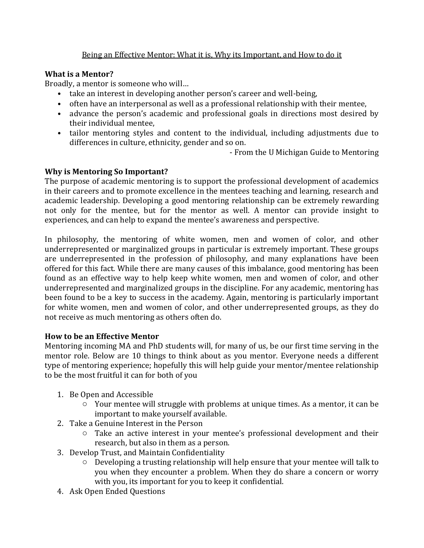## Being an Effective Mentor: What it is, Why its Important, and How to do it

## **What is a Mentor?**

Broadly, a mentor is someone who will...

- take an interest in developing another person's career and well-being,
- often have an interpersonal as well as a professional relationship with their mentee.
- advance the person's academic and professional goals in directions most desired by their individual mentee.
- tailor mentoring styles and content to the individual, including adjustments due to differences in culture, ethnicity, gender and so on.

- From the U Michigan Guide to Mentoring

### **Why is Mentoring So Important?**

The purpose of academic mentoring is to support the professional development of academics in their careers and to promote excellence in the mentees teaching and learning, research and academic leadership. Developing a good mentoring relationship can be extremely rewarding not only for the mentee, but for the mentor as well. A mentor can provide insight to experiences, and can help to expand the mentee's awareness and perspective.

In philosophy, the mentoring of white women, men and women of color, and other underrepresented or marginalized groups in particular is extremely important. These groups are underrepresented in the profession of philosophy, and many explanations have been offered for this fact. While there are many causes of this imbalance, good mentoring has been found as an effective way to help keep white women, men and women of color, and other underrepresented and marginalized groups in the discipline. For any academic, mentoring has been found to be a key to success in the academy. Again, mentoring is particularly important for white women, men and women of color, and other underrepresented groups, as they do not receive as much mentoring as others often do.

#### **How to be an Effective Mentor**

Mentoring incoming MA and PhD students will, for many of us, be our first time serving in the mentor role. Below are 10 things to think about as you mentor. Everyone needs a different type of mentoring experience; hopefully this will help guide your mentor/mentee relationship to be the most fruitful it can for both of you

- 1. Be Open and Accessible
	- $\circ$  Your mentee will struggle with problems at unique times. As a mentor, it can be important to make yourself available.
- 2. Take a Genuine Interest in the Person
	- $\circ$  Take an active interest in your mentee's professional development and their research, but also in them as a person.
- 3. Develop Trust, and Maintain Confidentiality
	- $\circ$  Developing a trusting relationship will help ensure that your mentee will talk to you when they encounter a problem. When they do share a concern or worry with you, its important for you to keep it confidential.
- 4. Ask Open Ended Questions